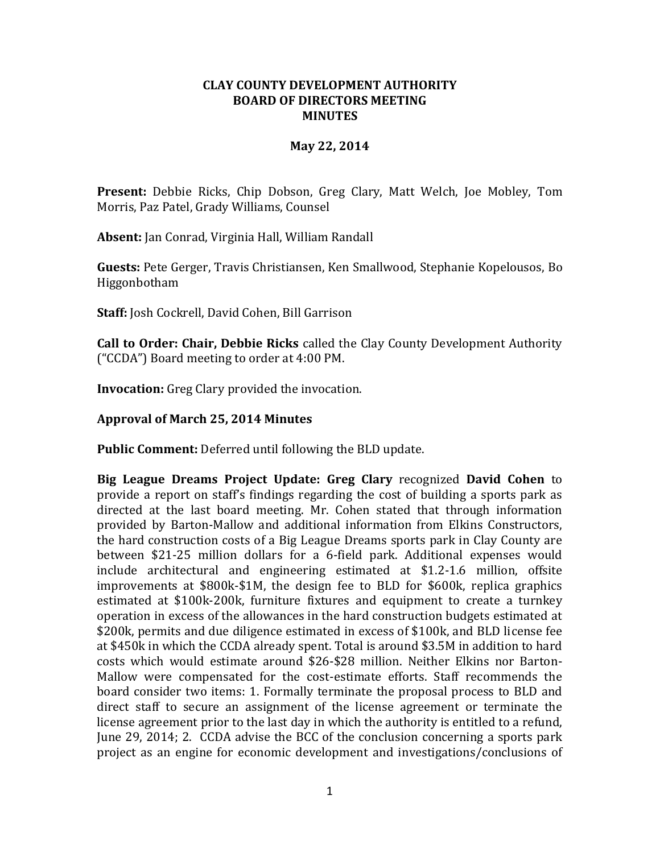## **CLAY COUNTY DEVELOPMENT AUTHORITY BOARD OF DIRECTORS MEETING MINUTES**

## **May 22, 2014**

**Present:** Debbie Ricks, Chip Dobson, Greg Clary, Matt Welch, Joe Mobley, Tom Morris, Paz Patel, Grady Williams, Counsel

**Absent:** Jan Conrad, Virginia Hall, William Randall

**Guests:** Pete Gerger, Travis Christiansen, Ken Smallwood, Stephanie Kopelousos, Bo Higgonbotham

**Staff:** Josh Cockrell, David Cohen, Bill Garrison

**Call to Order: Chair, Debbie Ricks** called the Clay County Development Authority ("CCDA") Board meeting to order at 4:00 PM.

**Invocation:** Greg Clary provided the invocation.

## **Approval of March 25, 2014 Minutes**

**Public Comment:** Deferred until following the BLD update.

**Big League Dreams Project Update: Greg Clary** recognized **David Cohen** to provide a report on staff's findings regarding the cost of building a sports park as directed at the last board meeting. Mr. Cohen stated that through information provided by Barton-Mallow and additional information from Elkins Constructors, the hard construction costs of a Big League Dreams sports park in Clay County are between \$21-25 million dollars for a 6-field park. Additional expenses would include architectural and engineering estimated at \$1.2-1.6 million, offsite improvements at \$800k-\$1M, the design fee to BLD for \$600k, replica graphics estimated at \$100k-200k, furniture fixtures and equipment to create a turnkey operation in excess of the allowances in the hard construction budgets estimated at \$200k, permits and due diligence estimated in excess of \$100k, and BLD license fee at \$450k in which the CCDA already spent. Total is around \$3.5M in addition to hard costs which would estimate around \$26-\$28 million. Neither Elkins nor Barton-Mallow were compensated for the cost-estimate efforts. Staff recommends the board consider two items: 1. Formally terminate the proposal process to BLD and direct staff to secure an assignment of the license agreement or terminate the license agreement prior to the last day in which the authority is entitled to a refund, June 29, 2014; 2. CCDA advise the BCC of the conclusion concerning a sports park project as an engine for economic development and investigations/conclusions of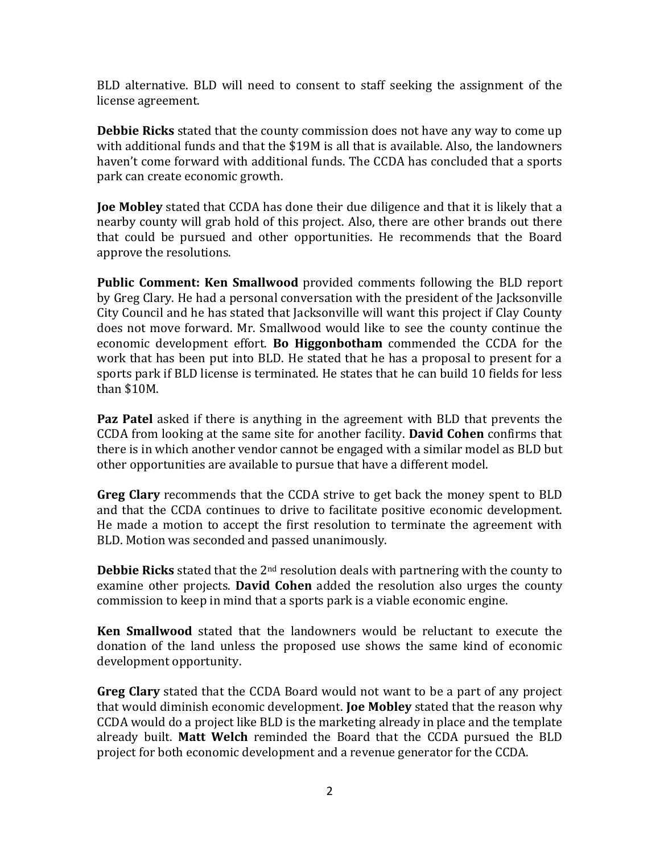BLD alternative. BLD will need to consent to staff seeking the assignment of the license agreement.

**Debbie Ricks** stated that the county commission does not have any way to come up with additional funds and that the \$19M is all that is available. Also, the landowners haven't come forward with additional funds. The CCDA has concluded that a sports park can create economic growth.

**Joe Mobley** stated that CCDA has done their due diligence and that it is likely that a nearby county will grab hold of this project. Also, there are other brands out there that could be pursued and other opportunities. He recommends that the Board approve the resolutions.

**Public Comment: Ken Smallwood** provided comments following the BLD report by Greg Clary. He had a personal conversation with the president of the Jacksonville City Council and he has stated that Jacksonville will want this project if Clay County does not move forward. Mr. Smallwood would like to see the county continue the economic development effort. **Bo Higgonbotham** commended the CCDA for the work that has been put into BLD. He stated that he has a proposal to present for a sports park if BLD license is terminated. He states that he can build 10 fields for less than \$10M.

**Paz Patel** asked if there is anything in the agreement with BLD that prevents the CCDA from looking at the same site for another facility. **David Cohen** confirms that there is in which another vendor cannot be engaged with a similar model as BLD but other opportunities are available to pursue that have a different model.

**Greg Clary** recommends that the CCDA strive to get back the money spent to BLD and that the CCDA continues to drive to facilitate positive economic development. He made a motion to accept the first resolution to terminate the agreement with BLD. Motion was seconded and passed unanimously.

**Debbie Ricks** stated that the 2nd resolution deals with partnering with the county to examine other projects. **David Cohen** added the resolution also urges the county commission to keep in mind that a sports park is a viable economic engine.

**Ken Smallwood** stated that the landowners would be reluctant to execute the donation of the land unless the proposed use shows the same kind of economic development opportunity.

**Greg Clary** stated that the CCDA Board would not want to be a part of any project that would diminish economic development. **Joe Mobley** stated that the reason why CCDA would do a project like BLD is the marketing already in place and the template already built. **Matt Welch** reminded the Board that the CCDA pursued the BLD project for both economic development and a revenue generator for the CCDA.